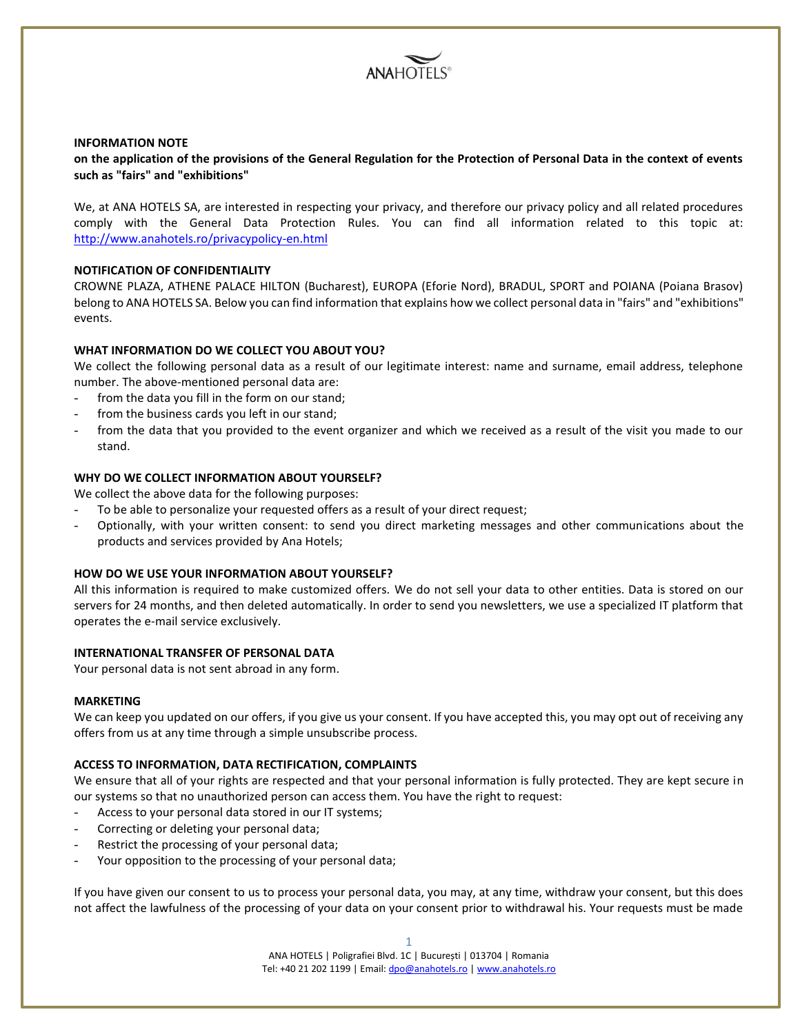

#### **INFORMATION NOTE**

**on the application of the provisions of the General Regulation for the Protection of Personal Data in the context of events such as "fairs" and "exhibitions"**

We, at ANA HOTELS SA, are interested in respecting your privacy, and therefore our privacy policy and all related procedures comply with the General Data Protection Rules. You can find all information related to this topic at: <http://www.anahotels.ro/privacypolicy-en.html>

# **NOTIFICATION OF CONFIDENTIALITY**

CROWNE PLAZA, ATHENE PALACE HILTON (Bucharest), EUROPA (Eforie Nord), BRADUL, SPORT and POIANA (Poiana Brasov) belong to ANA HOTELS SA. Below you can find information that explains how we collect personal data in "fairs" and "exhibitions" events.

#### **WHAT INFORMATION DO WE COLLECT YOU ABOUT YOU?**

We collect the following personal data as a result of our legitimate interest: name and surname, email address, telephone number. The above-mentioned personal data are:

- from the data you fill in the form on our stand;
- from the business cards you left in our stand;
- from the data that you provided to the event organizer and which we received as a result of the visit you made to our stand.

### **WHY DO WE COLLECT INFORMATION ABOUT YOURSELF?**

We collect the above data for the following purposes:

- To be able to personalize your requested offers as a result of your direct request;
- Optionally, with your written consent: to send you direct marketing messages and other communications about the products and services provided by Ana Hotels;

# **HOW DO WE USE YOUR INFORMATION ABOUT YOURSELF?**

All this information is required to make customized offers. We do not sell your data to other entities. Data is stored on our servers for 24 months, and then deleted automatically. In order to send you newsletters, we use a specialized IT platform that operates the e-mail service exclusively.

# **INTERNATIONAL TRANSFER OF PERSONAL DATA**

Your personal data is not sent abroad in any form.

#### **MARKETING**

We can keep you updated on our offers, if you give us your consent. If you have accepted this, you may opt out of receiving any offers from us at any time through a simple unsubscribe process.

#### **ACCESS TO INFORMATION, DATA RECTIFICATION, COMPLAINTS**

We ensure that all of your rights are respected and that your personal information is fully protected. They are kept secure in our systems so that no unauthorized person can access them. You have the right to request:

- Access to your personal data stored in our IT systems;
- Correcting or deleting your personal data;
- Restrict the processing of your personal data;
- Your opposition to the processing of your personal data;

If you have given our consent to us to process your personal data, you may, at any time, withdraw your consent, but this does not affect the lawfulness of the processing of your data on your consent prior to withdrawal his. Your requests must be made